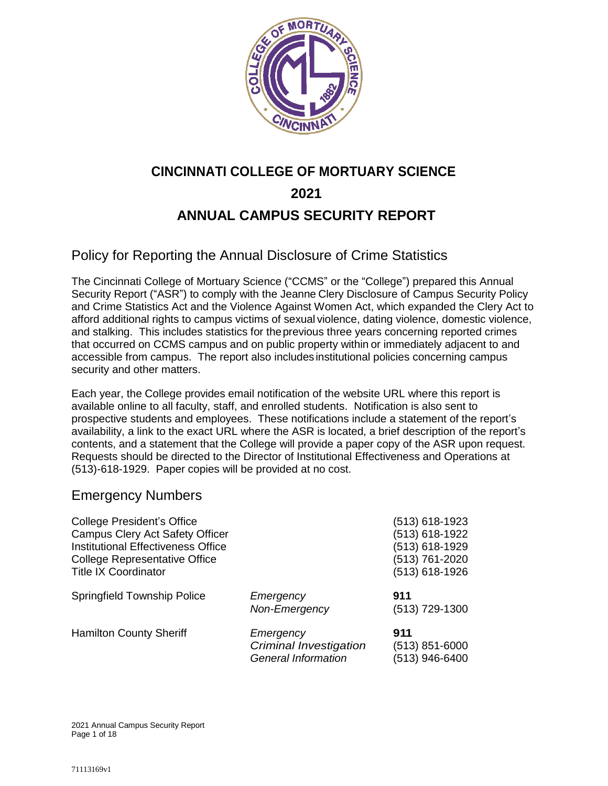

# **CINCINNATI COLLEGE OF MORTUARY SCIENCE 2021 ANNUAL CAMPUS SECURITY REPORT**

### Policy for Reporting the Annual Disclosure of Crime Statistics

The Cincinnati College of Mortuary Science ("CCMS" or the "College") prepared this Annual Security Report ("ASR") to comply with the Jeanne Clery Disclosure of Campus Security Policy and Crime Statistics Act and the Violence Against Women Act, which expanded the Clery Act to afford additional rights to campus victims of sexual violence, dating violence, domestic violence, and stalking. This includes statistics for theprevious three years concerning reported crimes that occurred on CCMS campus and on public property within or immediately adjacent to and accessible from campus. The report also includes institutional policies concerning campus security and other matters.

Each year, the College provides email notification of the website URL where this report is available online to all faculty, staff, and enrolled students. Notification is also sent to prospective students and employees. These notifications include a statement of the report's availability, a link to the exact URL where the ASR is located, a brief description of the report's contents, and a statement that the College will provide a paper copy of the ASR upon request. Requests should be directed to the Director of Institutional Effectiveness and Operations at (513)-618-1929. Paper copies will be provided at no cost.

### Emergency Numbers

| <b>College President's Office</b><br><b>Campus Clery Act Safety Officer</b><br><b>Institutional Effectiveness Office</b><br><b>College Representative Office</b><br><b>Title IX Coordinator</b> |                                                                          | (513) 618-1923<br>(513) 618-1922<br>(513) 618-1929<br>(513) 761-2020<br>(513) 618-1926 |
|-------------------------------------------------------------------------------------------------------------------------------------------------------------------------------------------------|--------------------------------------------------------------------------|----------------------------------------------------------------------------------------|
| <b>Springfield Township Police</b>                                                                                                                                                              | Emergency<br>Non-Emergency                                               | 911<br>(513) 729-1300                                                                  |
| <b>Hamilton County Sheriff</b>                                                                                                                                                                  | Emergency<br><b>Criminal Investigation</b><br><b>General Information</b> | 911<br>(513) 851-6000<br>(513) 946-6400                                                |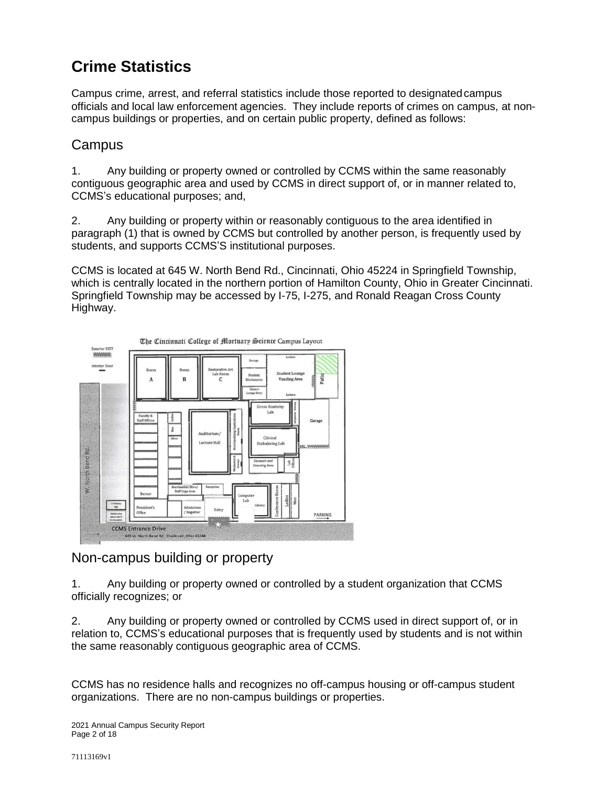# **Crime Statistics**

Campus crime, arrest, and referral statistics include those reported to designatedcampus officials and local law enforcement agencies. They include reports of crimes on campus, at noncampus buildings or properties, and on certain public property, defined as follows:

#### **Campus**

1. Any building or property owned or controlled by CCMS within the same reasonably contiguous geographic area and used by CCMS in direct support of, or in manner related to, CCMS's educational purposes; and,

2. Any building or property within or reasonably contiguous to the area identified in paragraph (1) that is owned by CCMS but controlled by another person, is frequently used by students, and supports CCMS'S institutional purposes.

CCMS is located at 645 W. North Bend Rd., Cincinnati, Ohio 45224 in Springfield Township, which is centrally located in the northern portion of Hamilton County, Ohio in Greater Cincinnati. Springfield Township may be accessed by I-75, I-275, and Ronald Reagan Cross County Highway.



### Non-campus building or property

1. Any building or property owned or controlled by a student organization that CCMS officially recognizes; or

2. Any building or property owned or controlled by CCMS used in direct support of, or in relation to, CCMS's educational purposes that is frequently used by students and is not within the same reasonably contiguous geographic area of CCMS.

CCMS has no residence halls and recognizes no off-campus housing or off-campus student organizations. There are no non-campus buildings or properties.

2021 Annual Campus Security Report Page 2 of 18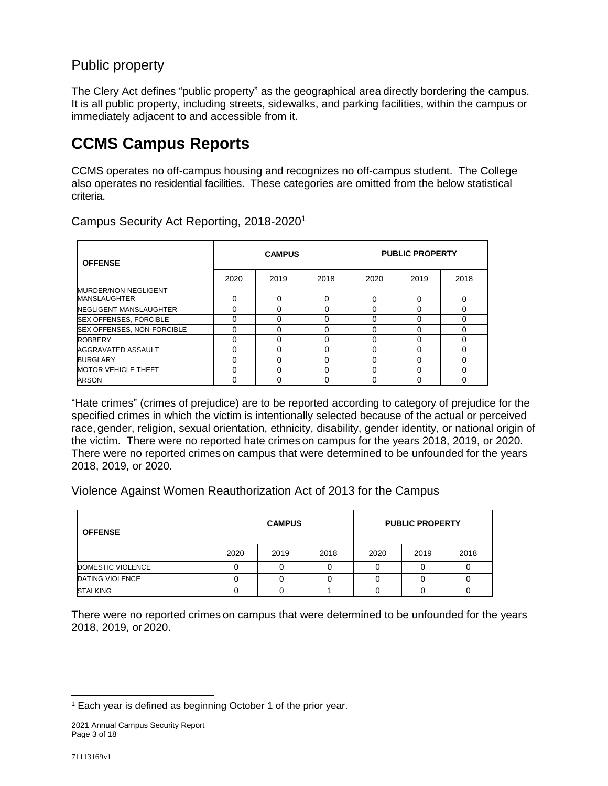### Public property

The Clery Act defines "public property" as the geographical area directly bordering the campus. It is all public property, including streets, sidewalks, and parking facilities, within the campus or immediately adjacent to and accessible from it.

# **CCMS Campus Reports**

CCMS operates no off-campus housing and recognizes no off-campus student. The College also operates no residential facilities. These categories are omitted from the below statistical criteria.

| <b>OFFENSE</b>                              |      | <b>CAMPUS</b> |          |          | <b>PUBLIC PROPERTY</b> |          |
|---------------------------------------------|------|---------------|----------|----------|------------------------|----------|
|                                             | 2020 | 2019          | 2018     | 2020     | 2019                   | 2018     |
| MURDER/NON-NEGLIGENT<br><b>MANSLAUGHTER</b> | 0    | 0             | $\Omega$ | $\Omega$ | 0                      | $\Omega$ |
| NEGLIGENT MANSLAUGHTER                      | 0    | 0             | $\Omega$ | $\Omega$ | 0                      | $\Omega$ |
| <b>SEX OFFENSES, FORCIBLE</b>               | 0    | 0             | 0        | $\Omega$ | 0                      | O        |
| SEX OFFENSES, NON-FORCIBLE                  | 0    | 0             | $\Omega$ | $\Omega$ | 0                      | ∩        |
| <b>ROBBERY</b>                              | 0    | U             | 0        | $\Omega$ | 0                      | 0        |
| AGGRAVATED ASSAULT                          | 0    | 0             | $\Omega$ | $\Omega$ | 0                      | 0        |
| <b>BURGLARY</b>                             | 0    | U             | $\Omega$ | $\Omega$ | 0                      | $\Omega$ |
| <b>MOTOR VEHICLE THEFT</b>                  | 0    | $\Omega$      | $\Omega$ | $\Omega$ | $\Omega$               | $\Omega$ |
| <b>ARSON</b>                                | 0    | U             | 0        | 0        | 0                      | $\Omega$ |

Campus Security Act Reporting, 2018-2020<sup>1</sup>

"Hate crimes" (crimes of prejudice) are to be reported according to category of prejudice for the specified crimes in which the victim is intentionally selected because of the actual or perceived race, gender, religion, sexual orientation, ethnicity, disability, gender identity, or national origin of the victim. There were no reported hate crimes on campus for the years 2018, 2019, or 2020. There were no reported crimes on campus that were determined to be unfounded for the years 2018, 2019, or 2020.

Violence Against Women Reauthorization Act of 2013 for the Campus

| <b>OFFENSE</b>         |      | <b>CAMPUS</b> |      |      | <b>PUBLIC PROPERTY</b> |      |
|------------------------|------|---------------|------|------|------------------------|------|
|                        | 2020 | 2019          | 2018 | 2020 | 2019                   | 2018 |
| DOMESTIC VIOLENCE      |      |               |      |      |                        |      |
| <b>DATING VIOLENCE</b> |      |               |      |      |                        |      |
| <b>STALKING</b>        |      |               |      |      |                        |      |

There were no reported crimes on campus that were determined to be unfounded for the years 2018, 2019, or 2020.

l <sup>1</sup> Each year is defined as beginning October 1 of the prior year.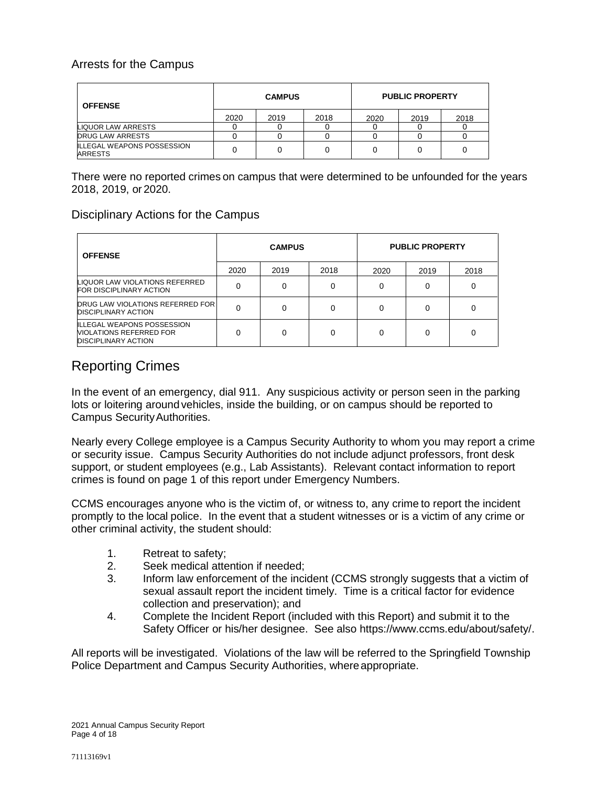#### Arrests for the Campus

| <b>OFFENSE</b>                                      |      | <b>CAMPUS</b> |      |      | <b>PUBLIC PROPERTY</b> |      |
|-----------------------------------------------------|------|---------------|------|------|------------------------|------|
|                                                     | 2020 | 2019          | 2018 | 2020 | 2019                   | 2018 |
| LIQUOR LAW ARRESTS                                  |      |               |      |      |                        |      |
| <b>DRUG LAW ARRESTS</b>                             |      |               |      |      |                        |      |
| <b>ILLEGAL WEAPONS POSSESSION</b><br><b>ARRESTS</b> |      |               |      |      |                        |      |

There were no reported crimes on campus that were determined to be unfounded for the years 2018, 2019, or 2020.

#### Disciplinary Actions for the Campus

| <b>OFFENSE</b>                                                                                    |      | <b>CAMPUS</b> |      |      | <b>PUBLIC PROPERTY</b> |      |
|---------------------------------------------------------------------------------------------------|------|---------------|------|------|------------------------|------|
|                                                                                                   | 2020 | 2019          | 2018 | 2020 | 2019                   | 2018 |
| LIQUOR LAW VIOLATIONS REFERRED<br><b>FOR DISCIPLINARY ACTION</b>                                  |      |               |      | 0    |                        |      |
| <b>DRUG LAW VIOLATIONS REFERRED FOR</b><br><b>DISCIPLINARY ACTION</b>                             |      | 0             | O    | 0    |                        |      |
| <b>ILLEGAL WEAPONS POSSESSION</b><br><b>NIOLATIONS REFERRED FOR</b><br><b>DISCIPLINARY ACTION</b> |      | 0             | o    | 0    | 0                      | 0    |

## Reporting Crimes

In the event of an emergency, dial 911. Any suspicious activity or person seen in the parking lots or loitering around vehicles, inside the building, or on campus should be reported to Campus SecurityAuthorities.

Nearly every College employee is a Campus Security Authority to whom you may report a crime or security issue. Campus Security Authorities do not include adjunct professors, front desk support, or student employees (e.g., Lab Assistants). Relevant contact information to report crimes is found on page 1 of this report under Emergency Numbers.

CCMS encourages anyone who is the victim of, or witness to, any crime to report the incident promptly to the local police. In the event that a student witnesses or is a victim of any crime or other criminal activity, the student should:

- 1. Retreat to safety;
- 2. Seek medical attention if needed;
- 3. Inform law enforcement of the incident (CCMS strongly suggests that a victim of sexual assault report the incident timely. Time is a critical factor for evidence collection and preservation); and
- 4. Complete the [Incident Report](https://www.ccms.edu/wp-content/uploads/Crime-Sexual-Assault-Report.pdf) (included with this Report) and submit it to the Safety Officer or his/her designee. See also https://www.ccms.edu/about/safety/.

All reports will be investigated. Violations of the law will be referred to the Springfield Township Police Department and Campus Security Authorities, where appropriate.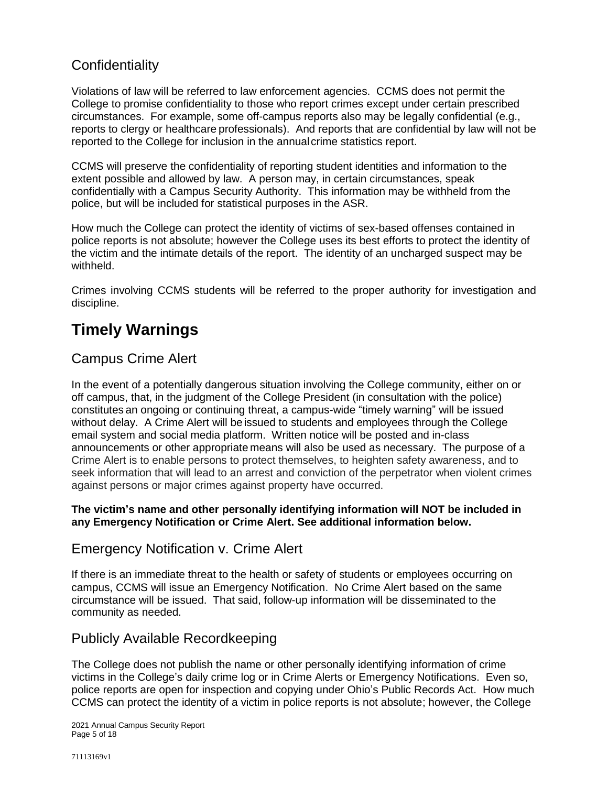## **Confidentiality**

Violations of law will be referred to law enforcement agencies. CCMS does not permit the College to promise confidentiality to those who report crimes except under certain prescribed circumstances. For example, some off-campus reports also may be legally confidential (e.g., reports to clergy or healthcare professionals). And reports that are confidential by law will not be reported to the College for inclusion in the annualcrime statistics report.

CCMS will preserve the confidentiality of reporting student identities and information to the extent possible and allowed by law. A person may, in certain circumstances, speak confidentially with a Campus Security Authority. This information may be withheld from the police, but will be included for statistical purposes in the ASR.

How much the College can protect the identity of victims of sex-based offenses contained in police reports is not absolute; however the College uses its best efforts to protect the identity of the victim and the intimate details of the report. The identity of an uncharged suspect may be withheld.

Crimes involving CCMS students will be referred to the proper authority for investigation and discipline.

# **Timely Warnings**

### Campus Crime Alert

In the event of a potentially dangerous situation involving the College community, either on or off campus, that, in the judgment of the College President (in consultation with the police) constitutes an ongoing or continuing threat, a campus-wide "timely warning" will be issued without delay. A Crime Alert will be issued to students and employees through the College email system and social media platform. Written notice will be posted and in-class announcements or other appropriate means will also be used as necessary. The purpose of a Crime Alert is to enable persons to protect themselves, to heighten safety awareness, and to seek information that will lead to an arrest and conviction of the perpetrator when violent crimes against persons or major crimes against property have occurred.

#### **The victim's name and other personally identifying information will NOT be included in any Emergency Notification or Crime Alert. See additional information below.**

#### Emergency Notification v. Crime Alert

If there is an immediate threat to the health or safety of students or employees occurring on campus, CCMS will issue an Emergency Notification. No Crime Alert based on the same circumstance will be issued. That said, follow-up information will be disseminated to the community as needed.

### Publicly Available Recordkeeping

The College does not publish the name or other personally identifying information of crime victims in the College's daily crime log or in Crime Alerts or Emergency Notifications. Even so, police reports are open for inspection and copying under Ohio's Public Records Act. How much CCMS can protect the identity of a victim in police reports is not absolute; however, the College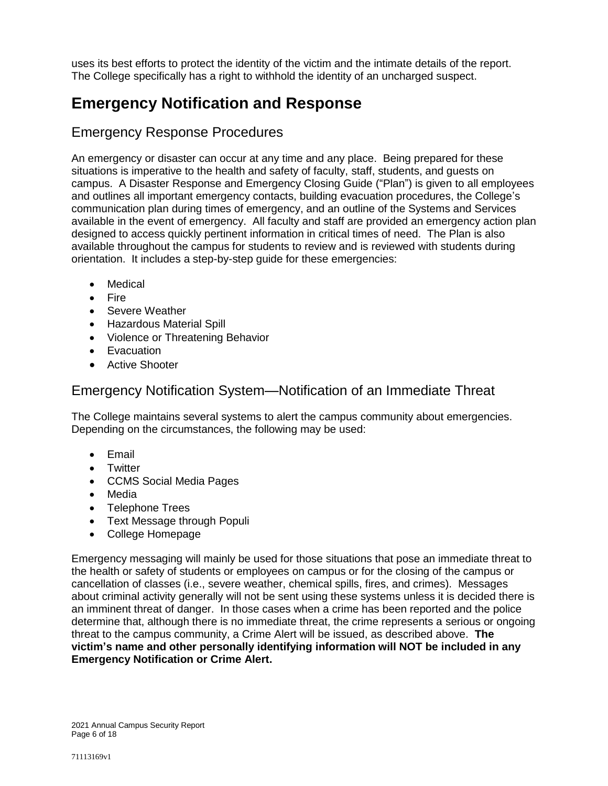uses its best efforts to protect the identity of the victim and the intimate details of the report. The College specifically has a right to withhold the identity of an uncharged suspect.

# **Emergency Notification and Response**

## Emergency Response Procedures

An emergency or disaster can occur at any time and any place. Being prepared for these situations is imperative to the health and safety of faculty, staff, students, and guests on campus. A Disaster Response and Emergency Closing Guide ("Plan") is given to all employees and outlines all important emergency contacts, building evacuation procedures, the College's communication plan during times of emergency, and an outline of the Systems and Services available in the event of emergency. All faculty and staff are provided an emergency action plan designed to access quickly pertinent information in critical times of need. The Plan is also available throughout the campus for students to review and is reviewed with students during orientation. It includes a step-by-step guide for these emergencies:

- Medical
- Fire
- Severe Weather
- Hazardous Material Spill
- Violence or Threatening Behavior
- Evacuation
- **•** Active Shooter

#### Emergency Notification System—Notification of an Immediate Threat

The College maintains several systems to alert the campus community about emergencies. Depending on the circumstances, the following may be used:

- Email
- Twitter
- CCMS Social Media Pages
- Media
- Telephone Trees
- Text Message through Populi
- College Homepage

Emergency messaging will mainly be used for those situations that pose an immediate threat to the health or safety of students or employees on campus or for the closing of the campus or cancellation of classes (i.e., severe weather, chemical spills, fires, and crimes). Messages about criminal activity generally will not be sent using these systems unless it is decided there is an imminent threat of danger. In those cases when a crime has been reported and the police determine that, although there is no immediate threat, the crime represents a serious or ongoing threat to the campus community, a Crime Alert will be issued, as described above. **The victim's name and other personally identifying information will NOT be included in any Emergency Notification or Crime Alert.**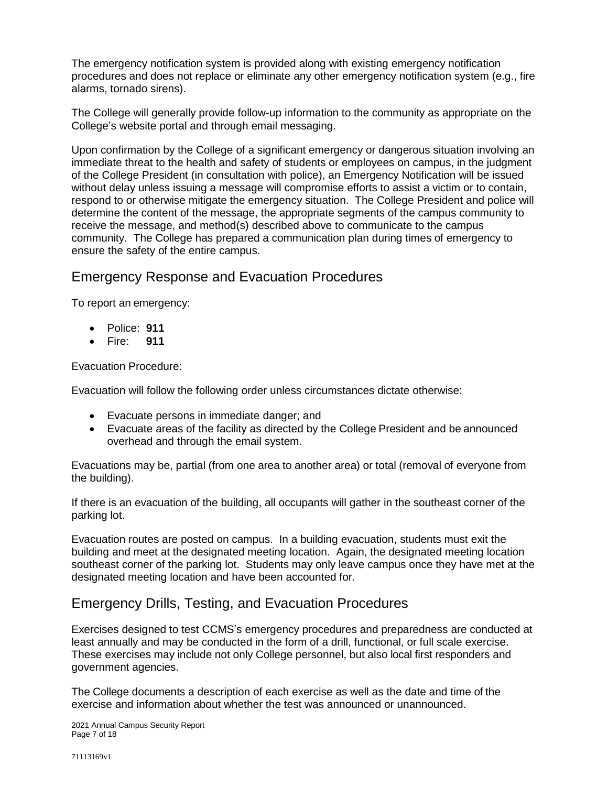The emergency notification system is provided along with existing emergency notification procedures and does not replace or eliminate any other emergency notification system (e.g., fire alarms, tornado sirens).

The College will generally provide follow-up information to the community as appropriate on the College's website portal and through email messaging.

Upon confirmation by the College of a significant emergency or dangerous situation involving an immediate threat to the health and safety of students or employees on campus, in the judgment of the College President (in consultation with police), an Emergency Notification will be issued without delay unless issuing a message will compromise efforts to assist a victim or to contain, respond to or otherwise mitigate the emergency situation. The College President and police will determine the content of the message, the appropriate segments of the campus community to receive the message, and method(s) described above to communicate to the campus community. The College has prepared a communication plan during times of emergency to ensure the safety of the entire campus.

### Emergency Response and Evacuation Procedures

To report an emergency:

- Police: **911**
- Fire: **911**

Evacuation Procedure:

Evacuation will follow the following order unless circumstances dictate otherwise:

- Evacuate persons in immediate danger; and
- Evacuate areas of the facility as directed by the College President and be announced overhead and through the email system.

Evacuations may be, partial (from one area to another area) or total (removal of everyone from the building).

If there is an evacuation of the building, all occupants will gather in the southeast corner of the parking lot.

Evacuation routes are posted on campus. In a building evacuation, students must exit the building and meet at the designated meeting location. Again, the designated meeting location southeast corner of the parking lot. Students may only leave campus once they have met at the designated meeting location and have been accounted for.

#### Emergency Drills, Testing, and Evacuation Procedures

Exercises designed to test CCMS's emergency procedures and preparedness are conducted at least annually and may be conducted in the form of a drill, functional, or full scale exercise. These exercises may include not only College personnel, but also local first responders and government agencies.

The College documents a description of each exercise as well as the date and time of the exercise and information about whether the test was announced or unannounced.

2021 Annual Campus Security Report Page 7 of 18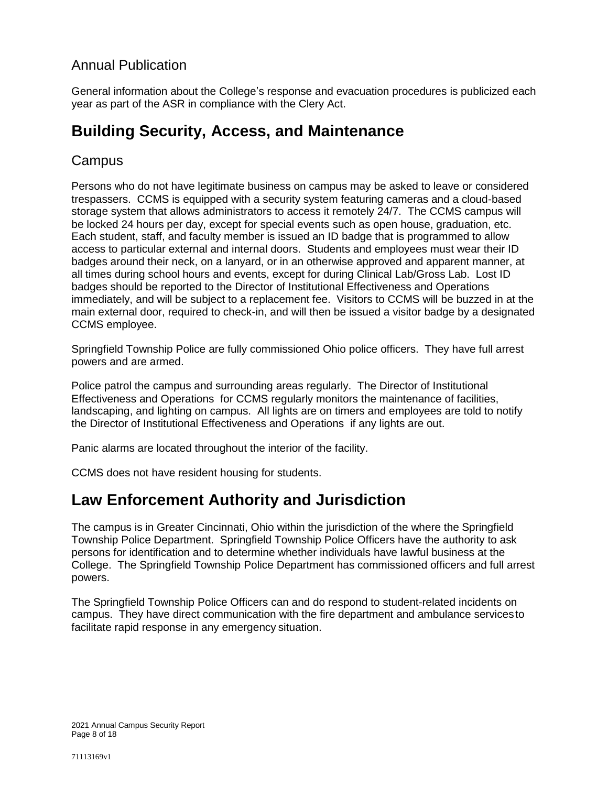### Annual Publication

General information about the College's response and evacuation procedures is publicized each year as part of the ASR in compliance with the Clery Act.

# **Building Security, Access, and Maintenance**

### **Campus**

Persons who do not have legitimate business on campus may be asked to leave or considered trespassers. CCMS is equipped with a security system featuring cameras and a cloud-based storage system that allows administrators to access it remotely 24/7. The CCMS campus will be locked 24 hours per day, except for special events such as open house, graduation, etc. Each student, staff, and faculty member is issued an ID badge that is programmed to allow access to particular external and internal doors. Students and employees must wear their ID badges around their neck, on a lanyard, or in an otherwise approved and apparent manner, at all times during school hours and events, except for during Clinical Lab/Gross Lab. Lost ID badges should be reported to the Director of Institutional Effectiveness and Operations immediately, and will be subject to a replacement fee. Visitors to CCMS will be buzzed in at the main external door, required to check-in, and will then be issued a visitor badge by a designated CCMS employee.

Springfield Township Police are fully commissioned Ohio police officers. They have full arrest powers and are armed.

Police patrol the campus and surrounding areas regularly. The Director of Institutional Effectiveness and Operations for CCMS regularly monitors the maintenance of facilities, landscaping, and lighting on campus. All lights are on timers and employees are told to notify the Director of Institutional Effectiveness and Operations if any lights are out.

Panic alarms are located throughout the interior of the facility.

CCMS does not have resident housing for students.

## **Law Enforcement Authority and Jurisdiction**

The campus is in Greater Cincinnati, Ohio within the jurisdiction of the where the Springfield Township Police Department. Springfield Township Police Officers have the authority to ask persons for identification and to determine whether individuals have lawful business at the College. The Springfield Township Police Department has commissioned officers and full arrest powers.

The Springfield Township Police Officers can and do respond to student-related incidents on campus. They have direct communication with the fire department and ambulance servicesto facilitate rapid response in any emergency situation.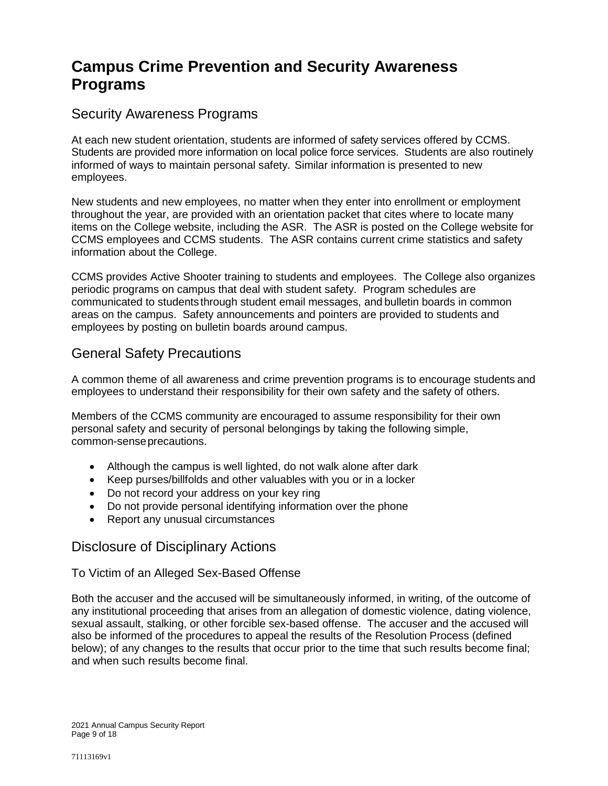# **Campus Crime Prevention and Security Awareness Programs**

### Security Awareness Programs

At each new student orientation, students are informed of safety services offered by CCMS. Students are provided more information on local police force services. Students are also routinely informed of ways to maintain personal safety. Similar information is presented to new employees.

New students and new employees, no matter when they enter into enrollment or employment throughout the year, are provided with an orientation packet that cites where to locate many items on the College website, including the ASR. The ASR is posted on the College website for CCMS employees and CCMS students. The ASR contains current crime statistics and safety information about the College.

CCMS provides Active Shooter training to students and employees. The College also organizes periodic programs on campus that deal with student safety. Program schedules are communicated to studentsthrough student email messages, and bulletin boards in common areas on the campus. Safety announcements and pointers are provided to students and employees by posting on bulletin boards around campus.

### General Safety Precautions

A common theme of all awareness and crime prevention programs is to encourage students and employees to understand their responsibility for their own safety and the safety of others.

Members of the CCMS community are encouraged to assume responsibility for their own personal safety and security of personal belongings by taking the following simple, common-senseprecautions.

- Although the campus is well lighted, do not walk alone after dark
- Keep purses/billfolds and other valuables with you or in a locker
- Do not record your address on your key ring
- Do not provide personal identifying information over the phone
- Report any unusual circumstances

### Disclosure of Disciplinary Actions

#### To Victim of an Alleged Sex-Based Offense

Both the accuser and the accused will be simultaneously informed, in writing, of the outcome of any institutional proceeding that arises from an allegation of domestic violence, dating violence, sexual assault, stalking, or other forcible sex-based offense. The accuser and the accused will also be informed of the procedures to appeal the results of the Resolution Process (defined below); of any changes to the results that occur prior to the time that such results become final; and when such results become final.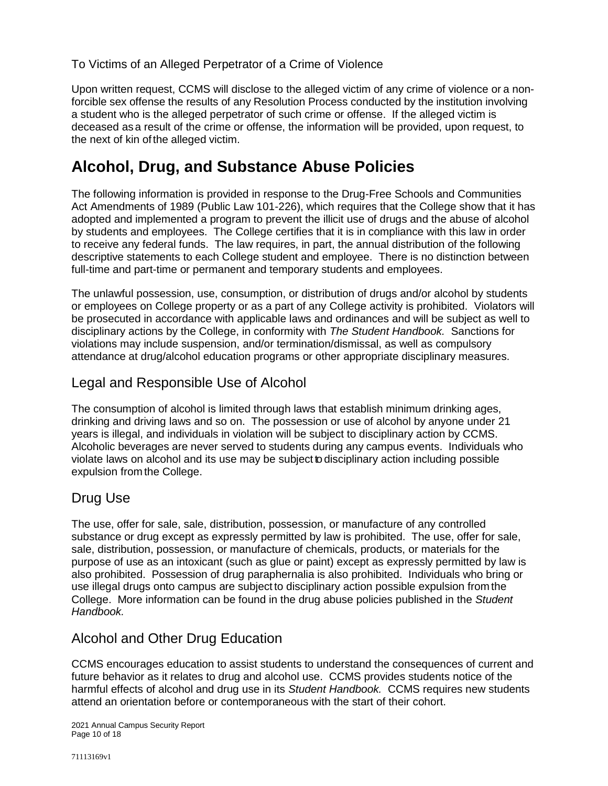To Victims of an Alleged Perpetrator of a Crime of Violence

Upon written request, CCMS will disclose to the alleged victim of any crime of violence or a nonforcible sex offense the results of any Resolution Process conducted by the institution involving a student who is the alleged perpetrator of such crime or offense. If the alleged victim is deceased asa result of the crime or offense, the information will be provided, upon request, to the next of kin ofthe alleged victim.

# **Alcohol, Drug, and Substance Abuse Policies**

The following information is provided in response to the Drug-Free Schools and Communities Act Amendments of 1989 (Public Law 101-226), which requires that the College show that it has adopted and implemented a program to prevent the illicit use of drugs and the abuse of alcohol by students and employees. The College certifies that it is in compliance with this law in order to receive any federal funds. The law requires, in part, the annual distribution of the following descriptive statements to each College student and employee. There is no distinction between full-time and part-time or permanent and temporary students and employees.

The unlawful possession, use, consumption, or distribution of drugs and/or alcohol by students or employees on College property or as a part of any College activity is prohibited. Violators will be prosecuted in accordance with applicable laws and ordinances and will be subject as well to disciplinary actions by the College, in conformity with *The Student Handbook.* Sanctions for violations may include suspension, and/or termination/dismissal, as well as compulsory attendance at drug/alcohol education programs or other appropriate disciplinary measures.

## Legal and Responsible Use of Alcohol

The consumption of alcohol is limited through laws that establish minimum drinking ages, drinking and driving laws and so on. The possession or use of alcohol by anyone under 21 years is illegal, and individuals in violation will be subject to disciplinary action by CCMS. Alcoholic beverages are never served to students during any campus events. Individuals who violate laws on alcohol and its use may be subject to disciplinary action including possible expulsion from the College.

## Drug Use

The use, offer for sale, sale, distribution, possession, or manufacture of any controlled substance or drug except as expressly permitted by law is prohibited. The use, offer for sale, sale, distribution, possession, or manufacture of chemicals, products, or materials for the purpose of use as an intoxicant (such as glue or paint) except as expressly permitted by law is also prohibited. Possession of drug paraphernalia is also prohibited. Individuals who bring or use illegal drugs onto campus are subject to disciplinary action possible expulsion from the College. More information can be found in the drug abuse policies published in the *Student Handbook.*

## Alcohol and Other Drug Education

CCMS encourages education to assist students to understand the consequences of current and future behavior as it relates to drug and alcohol use. CCMS provides students notice of the harmful effects of alcohol and drug use in its *Student Handbook.* CCMS requires new students attend an orientation before or contemporaneous with the start of their cohort.

2021 Annual Campus Security Report Page 10 of 18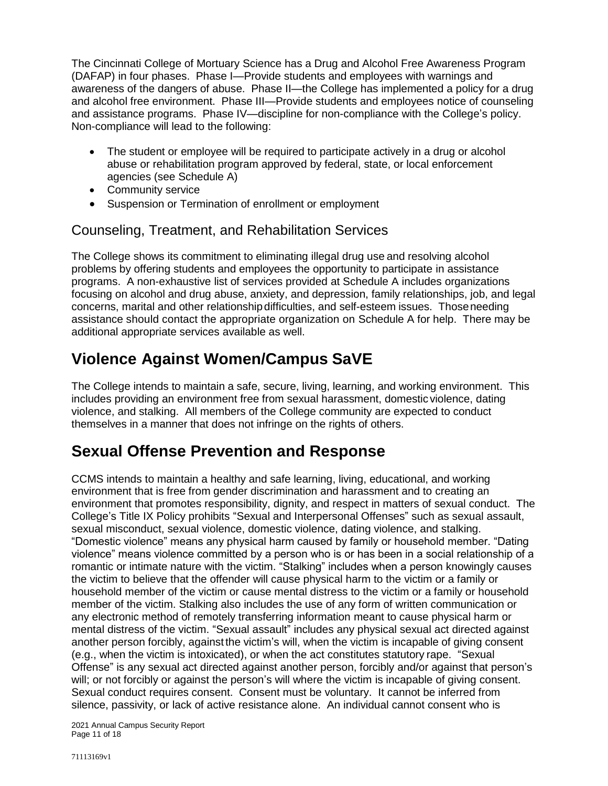The Cincinnati College of Mortuary Science has a Drug and Alcohol Free Awareness Program (DAFAP) in four phases. Phase I—Provide students and employees with warnings and awareness of the dangers of abuse. Phase II—the College has implemented a policy for a drug and alcohol free environment. Phase III—Provide students and employees notice of counseling and assistance programs. Phase IV—discipline for non-compliance with the College's policy. Non-compliance will lead to the following:

- The student or employee will be required to participate actively in a drug or alcohol abuse or rehabilitation program approved by federal, state, or local enforcement agencies (see Schedule A)
- Community service
- Suspension or Termination of enrollment or employment

### Counseling, Treatment, and Rehabilitation Services

The College shows its commitment to eliminating illegal drug use and resolving alcohol problems by offering students and employees the opportunity to participate in assistance programs. A non-exhaustive list of services provided at Schedule A includes organizations focusing on alcohol and drug abuse, anxiety, and depression, family relationships, job, and legal concerns, marital and other relationshipdifficulties, and self-esteem issues. Thoseneeding assistance should contact the appropriate organization on Schedule A for help. There may be additional appropriate services available as well.

# **Violence Against Women/Campus SaVE**

The College intends to maintain a safe, secure, living, learning, and working environment. This includes providing an environment free from sexual harassment, domestic violence, dating violence, and stalking. All members of the College community are expected to conduct themselves in a manner that does not infringe on the rights of others.

# **Sexual Offense Prevention and Response**

CCMS intends to maintain a healthy and safe learning, living, educational, and working environment that is free from gender discrimination and harassment and to creating an environment that promotes responsibility, dignity, and respect in matters of sexual conduct. The College's Title IX Policy prohibits "Sexual and Interpersonal Offenses" such as sexual assault, sexual misconduct, sexual violence, domestic violence, dating violence, and stalking. "Domestic violence" means any physical harm caused by family or household member. "Dating violence" means violence committed by a person who is or has been in a social relationship of a romantic or intimate nature with the victim. "Stalking" includes when a person knowingly causes the victim to believe that the offender will cause physical harm to the victim or a family or household member of the victim or cause mental distress to the victim or a family or household member of the victim. Stalking also includes the use of any form of written communication or any electronic method of remotely transferring information meant to cause physical harm or mental distress of the victim. "Sexual assault" includes any physical sexual act directed against another person forcibly, against the victim's will, when the victim is incapable of giving consent (e.g., when the victim is intoxicated), or when the act constitutes statutory rape. "Sexual Offense" is any sexual act directed against another person, forcibly and/or against that person's will; or not forcibly or against the person's will where the victim is incapable of giving consent. Sexual conduct requires consent. Consent must be voluntary. It cannot be inferred from silence, passivity, or lack of active resistance alone. An individual cannot consent who is

2021 Annual Campus Security Report Page 11 of 18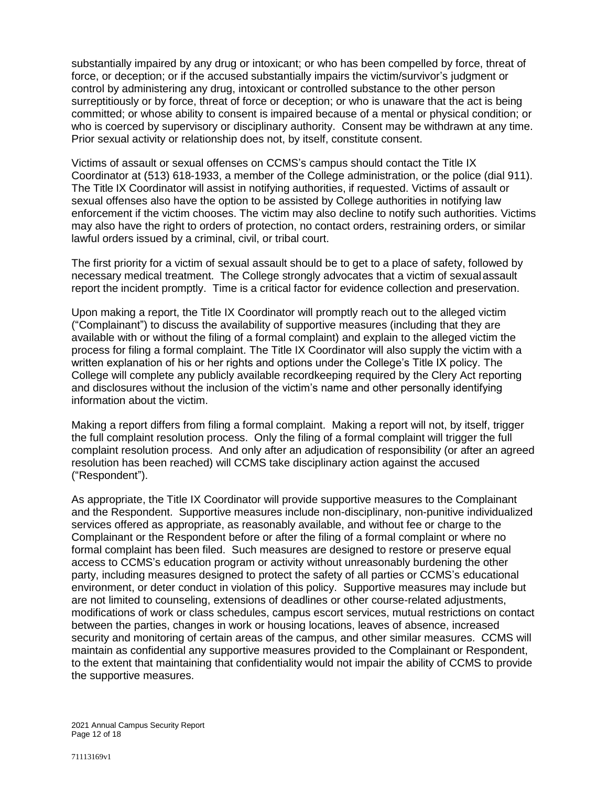substantially impaired by any drug or intoxicant; or who has been compelled by force, threat of force, or deception; or if the accused substantially impairs the victim/survivor's judgment or control by administering any drug, intoxicant or controlled substance to the other person surreptitiously or by force, threat of force or deception; or who is unaware that the act is being committed; or whose ability to consent is impaired because of a mental or physical condition; or who is coerced by supervisory or disciplinary authority. Consent may be withdrawn at any time. Prior sexual activity or relationship does not, by itself, constitute consent.

Victims of assault or sexual offenses on CCMS's campus should contact the Title IX Coordinator at (513) 618-1933, a member of the College administration, or the police (dial 911). The Title IX Coordinator will assist in notifying authorities, if requested. Victims of assault or sexual offenses also have the option to be assisted by College authorities in notifying law enforcement if the victim chooses. The victim may also decline to notify such authorities. Victims may also have the right to orders of protection, no contact orders, restraining orders, or similar lawful orders issued by a criminal, civil, or tribal court.

The first priority for a victim of sexual assault should be to get to a place of safety, followed by necessary medical treatment. The College strongly advocates that a victim of sexualassault report the incident promptly. Time is a critical factor for evidence collection and preservation.

Upon making a report, the Title IX Coordinator will promptly reach out to the alleged victim ("Complainant") to discuss the availability of supportive measures (including that they are available with or without the filing of a formal complaint) and explain to the alleged victim the process for filing a formal complaint. The Title IX Coordinator will also supply the victim with a written explanation of his or her rights and options under the College's Title IX policy. The College will complete any publicly available recordkeeping required by the Clery Act reporting and disclosures without the inclusion of the victim's name and other personally identifying information about the victim.

Making a report differs from filing a formal complaint. Making a report will not, by itself, trigger the full complaint resolution process. Only the filing of a formal complaint will trigger the full complaint resolution process. And only after an adjudication of responsibility (or after an agreed resolution has been reached) will CCMS take disciplinary action against the accused ("Respondent").

As appropriate, the Title IX Coordinator will provide supportive measures to the Complainant and the Respondent. Supportive measures include non-disciplinary, non-punitive individualized services offered as appropriate, as reasonably available, and without fee or charge to the Complainant or the Respondent before or after the filing of a formal complaint or where no formal complaint has been filed. Such measures are designed to restore or preserve equal access to CCMS's education program or activity without unreasonably burdening the other party, including measures designed to protect the safety of all parties or CCMS's educational environment, or deter conduct in violation of this policy. Supportive measures may include but are not limited to counseling, extensions of deadlines or other course-related adjustments, modifications of work or class schedules, campus escort services, mutual restrictions on contact between the parties, changes in work or housing locations, leaves of absence, increased security and monitoring of certain areas of the campus, and other similar measures. CCMS will maintain as confidential any supportive measures provided to the Complainant or Respondent, to the extent that maintaining that confidentiality would not impair the ability of CCMS to provide the supportive measures.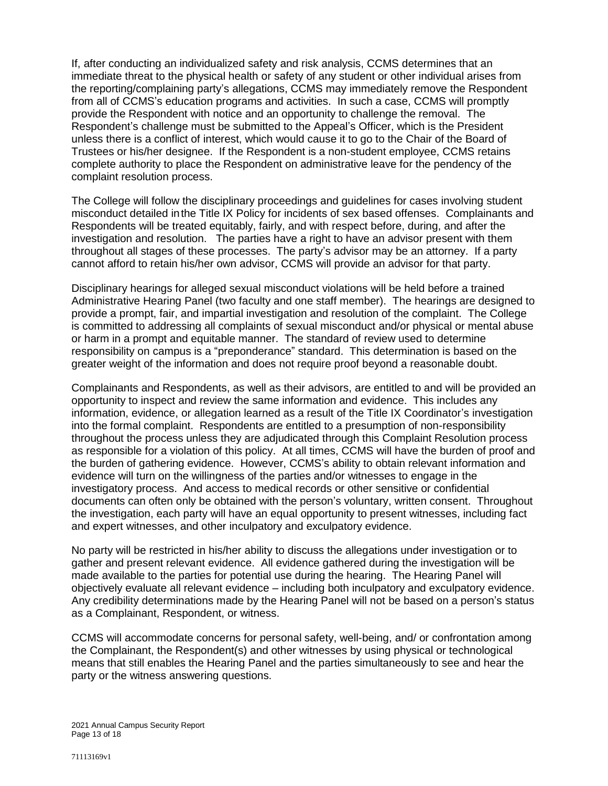If, after conducting an individualized safety and risk analysis, CCMS determines that an immediate threat to the physical health or safety of any student or other individual arises from the reporting/complaining party's allegations, CCMS may immediately remove the Respondent from all of CCMS's education programs and activities. In such a case, CCMS will promptly provide the Respondent with notice and an opportunity to challenge the removal. The Respondent's challenge must be submitted to the Appeal's Officer, which is the President unless there is a conflict of interest, which would cause it to go to the Chair of the Board of Trustees or his/her designee. If the Respondent is a non-student employee, CCMS retains complete authority to place the Respondent on administrative leave for the pendency of the complaint resolution process.

The College will follow the disciplinary proceedings and guidelines for cases involving student misconduct detailed inthe Title IX Policy for incidents of sex based offenses. Complainants and Respondents will be treated equitably, fairly, and with respect before, during, and after the investigation and resolution. The parties have a right to have an advisor present with them throughout all stages of these processes. The party's advisor may be an attorney. If a party cannot afford to retain his/her own advisor, CCMS will provide an advisor for that party.

Disciplinary hearings for alleged sexual misconduct violations will be held before a trained Administrative Hearing Panel (two faculty and one staff member). The hearings are designed to provide a prompt, fair, and impartial investigation and resolution of the complaint. The College is committed to addressing all complaints of sexual misconduct and/or physical or mental abuse or harm in a prompt and equitable manner. The standard of review used to determine responsibility on campus is a "preponderance" standard. This determination is based on the greater weight of the information and does not require proof beyond a reasonable doubt.

Complainants and Respondents, as well as their advisors, are entitled to and will be provided an opportunity to inspect and review the same information and evidence. This includes any information, evidence, or allegation learned as a result of the Title IX Coordinator's investigation into the formal complaint. Respondents are entitled to a presumption of non-responsibility throughout the process unless they are adjudicated through this Complaint Resolution process as responsible for a violation of this policy. At all times, CCMS will have the burden of proof and the burden of gathering evidence. However, CCMS's ability to obtain relevant information and evidence will turn on the willingness of the parties and/or witnesses to engage in the investigatory process. And access to medical records or other sensitive or confidential documents can often only be obtained with the person's voluntary, written consent. Throughout the investigation, each party will have an equal opportunity to present witnesses, including fact and expert witnesses, and other inculpatory and exculpatory evidence.

No party will be restricted in his/her ability to discuss the allegations under investigation or to gather and present relevant evidence. All evidence gathered during the investigation will be made available to the parties for potential use during the hearing. The Hearing Panel will objectively evaluate all relevant evidence – including both inculpatory and exculpatory evidence. Any credibility determinations made by the Hearing Panel will not be based on a person's status as a Complainant, Respondent, or witness.

CCMS will accommodate concerns for personal safety, well-being, and/ or confrontation among the Complainant, the Respondent(s) and other witnesses by using physical or technological means that still enables the Hearing Panel and the parties simultaneously to see and hear the party or the witness answering questions.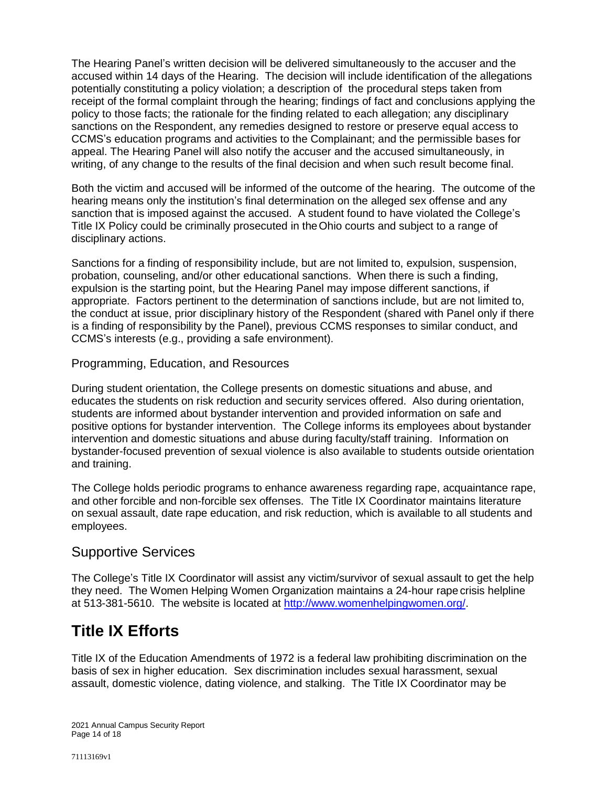The Hearing Panel's written decision will be delivered simultaneously to the accuser and the accused within 14 days of the Hearing. The decision will include identification of the allegations potentially constituting a policy violation; a description of the procedural steps taken from receipt of the formal complaint through the hearing; findings of fact and conclusions applying the policy to those facts; the rationale for the finding related to each allegation; any disciplinary sanctions on the Respondent, any remedies designed to restore or preserve equal access to CCMS's education programs and activities to the Complainant; and the permissible bases for appeal. The Hearing Panel will also notify the accuser and the accused simultaneously, in writing, of any change to the results of the final decision and when such result become final.

Both the victim and accused will be informed of the outcome of the hearing. The outcome of the hearing means only the institution's final determination on the alleged sex offense and any sanction that is imposed against the accused. A student found to have violated the College's Title IX Policy could be criminally prosecuted in theOhio courts and subject to a range of disciplinary actions.

Sanctions for a finding of responsibility include, but are not limited to, expulsion, suspension, probation, counseling, and/or other educational sanctions. When there is such a finding, expulsion is the starting point, but the Hearing Panel may impose different sanctions, if appropriate. Factors pertinent to the determination of sanctions include, but are not limited to, the conduct at issue, prior disciplinary history of the Respondent (shared with Panel only if there is a finding of responsibility by the Panel), previous CCMS responses to similar conduct, and CCMS's interests (e.g., providing a safe environment).

#### Programming, Education, and Resources

During student orientation, the College presents on domestic situations and abuse, and educates the students on risk reduction and security services offered. Also during orientation, students are informed about bystander intervention and provided information on safe and positive options for bystander intervention. The College informs its employees about bystander intervention and domestic situations and abuse during faculty/staff training. Information on bystander-focused prevention of sexual violence is also available to students outside orientation and training.

The College holds periodic programs to enhance awareness regarding rape, acquaintance rape, and other forcible and non-forcible sex offenses. The Title IX Coordinator maintains literature on sexual assault, date rape education, and risk reduction, which is available to all students and employees.

#### Supportive Services

The College's Title IX Coordinator will assist any victim/survivor of sexual assault to get the help they need. The Women Helping Women Organization maintains a 24-hour rape crisis helpline at 513-381-5610. The website is located at [http://www.womenhelpingwomen.org/.](http://www.womenhelpingwomen.org/)

# **Title IX Efforts**

Title IX of the Education Amendments of 1972 is a federal law prohibiting discrimination on the basis of sex in higher education. Sex discrimination includes sexual harassment, sexual assault, domestic violence, dating violence, and stalking. The Title IX Coordinator may be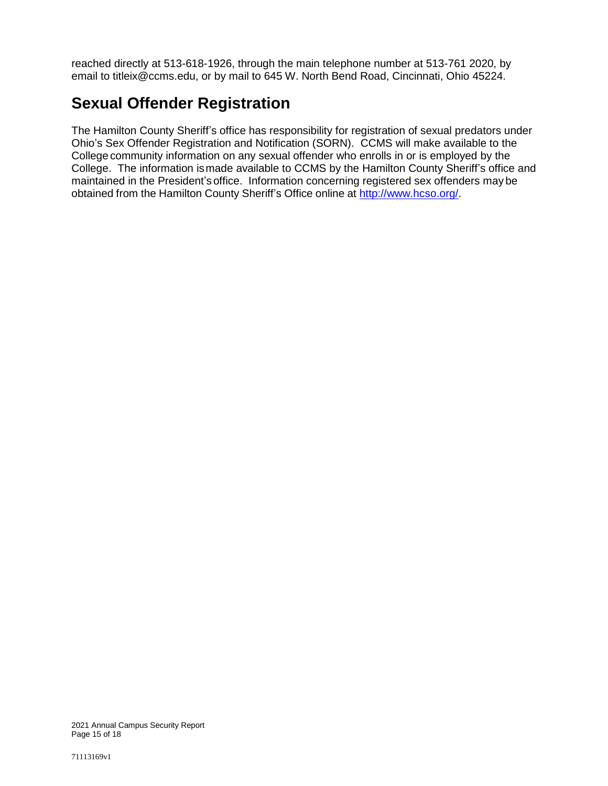reached directly at 513-618-1926, through the main telephone number at 513-761 2020, by email to titleix@ccms.edu, or by mail to 645 W. North Bend Road, Cincinnati, Ohio 45224.

# **Sexual Offender Registration**

The Hamilton County Sheriff's office has responsibility for registration of sexual predators under Ohio's Sex Offender Registration and Notification (SORN). CCMS will make available to the College community information on any sexual offender who enrolls in or is employed by the College. The information ismade available to CCMS by the Hamilton County Sheriff's office and maintained in the President's office. Information concerning registered sex offenders may be obtained from the Hamilton County Sheriff's Office online at [http://www.hcso.org/.](http://www.hcso.org/)

2021 Annual Campus Security Report Page 15 of 18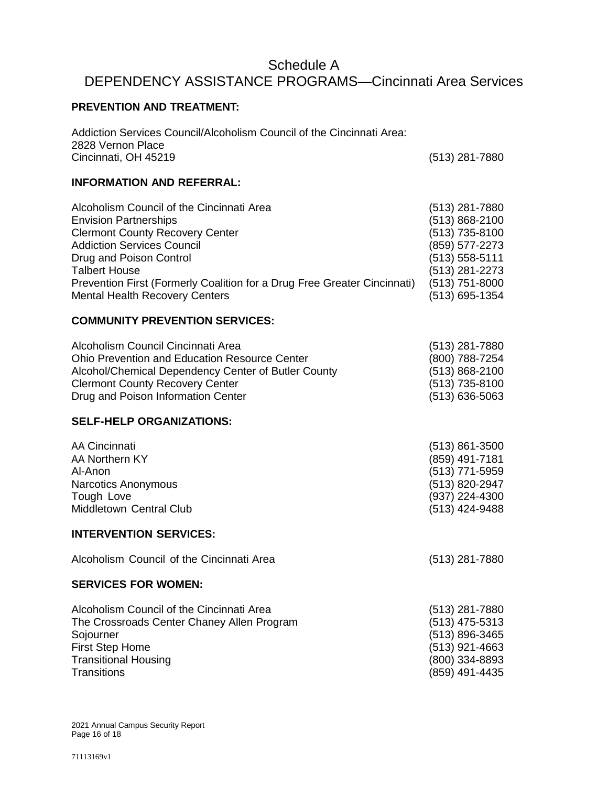## Schedule A DEPENDENCY ASSISTANCE PROGRAMS—Cincinnati Area Services

#### **PREVENTION AND TREATMENT:**

Addiction Services Council/Alcoholism Council of the Cincinnati Area: 2828 Vernon Place Cincinnati, OH 45219 (513) 281-7880 **INFORMATION AND REFERRAL:**

| Alcoholism Council of the Cincinnati Area                                | (513) 281-7880     |
|--------------------------------------------------------------------------|--------------------|
| <b>Envision Partnerships</b>                                             | $(513) 868 - 2100$ |
| <b>Clermont County Recovery Center</b>                                   | (513) 735-8100     |
| <b>Addiction Services Council</b>                                        | (859) 577-2273     |
| Drug and Poison Control                                                  | $(513) 558 - 5111$ |
| <b>Talbert House</b>                                                     | (513) 281-2273     |
| Prevention First (Formerly Coalition for a Drug Free Greater Cincinnati) | $(513)$ 751-8000   |
| <b>Mental Health Recovery Centers</b>                                    | (513) 695-1354     |

#### **COMMUNITY PREVENTION SERVICES:**

| Alcoholism Council Cincinnati Area                   | (513) 281-7880     |
|------------------------------------------------------|--------------------|
| <b>Ohio Prevention and Education Resource Center</b> | (800) 788-7254     |
| Alcohol/Chemical Dependency Center of Butler County  | $(513) 868 - 2100$ |
| <b>Clermont County Recovery Center</b>               | (513) 735-8100     |
| Drug and Poison Information Center                   | $(513) 636 - 5063$ |

#### **SELF-HELP ORGANIZATIONS:**

| AA Cincinnati           | $(513) 861 - 3500$ |
|-------------------------|--------------------|
| AA Northern KY          | (859) 491-7181     |
| Al-Anon                 | (513) 771-5959     |
| Narcotics Anonymous     | (513) 820-2947     |
| Tough Love              | (937) 224-4300     |
| Middletown Central Club | (513) 424-9488     |
|                         |                    |

#### **INTERVENTION SERVICES:**

Alcoholism Council of the Cincinnati Area (513) 281-7880

#### **SERVICES FOR WOMEN:**

| (513) 281-7880   |
|------------------|
| $(513)$ 475-5313 |
| (513) 896-3465   |
| (513) 921-4663   |
| (800) 334-8893   |
| (859) 491-4435   |
|                  |

2021 Annual Campus Security Report Page 16 of 18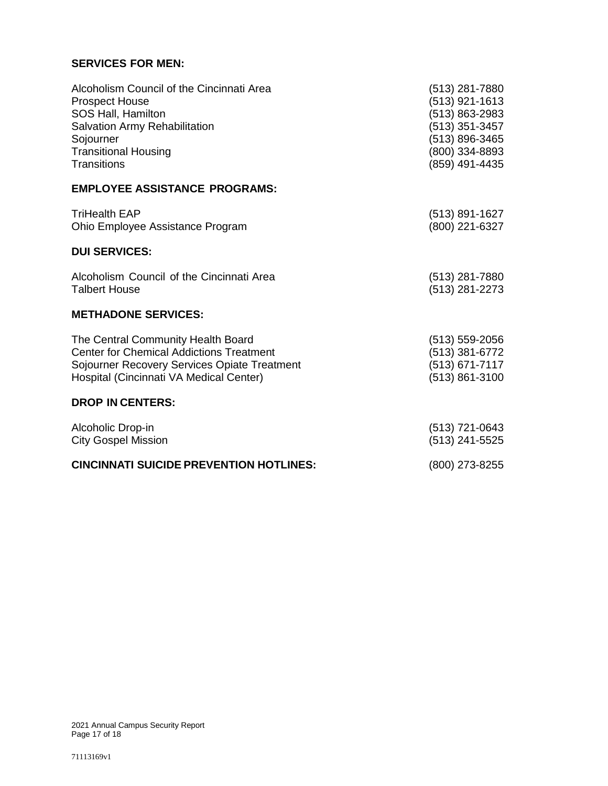#### **SERVICES FOR MEN:**

| Alcoholism Council of the Cincinnati Area       | (513) 281-7880     |
|-------------------------------------------------|--------------------|
| <b>Prospect House</b>                           | (513) 921-1613     |
| SOS Hall, Hamilton                              | (513) 863-2983     |
| Salvation Army Rehabilitation                   | (513) 351-3457     |
| Sojourner                                       | (513) 896-3465     |
| <b>Transitional Housing</b>                     | (800) 334-8893     |
| Transitions                                     | (859) 491-4435     |
| <b>EMPLOYEE ASSISTANCE PROGRAMS:</b>            |                    |
| <b>TriHealth EAP</b>                            | (513) 891-1627     |
| Ohio Employee Assistance Program                | (800) 221-6327     |
| <b>DUI SERVICES:</b>                            |                    |
| Alcoholism Council of the Cincinnati Area       | (513) 281-7880     |
| <b>Talbert House</b>                            | (513) 281-2273     |
| <b>METHADONE SERVICES:</b>                      |                    |
| The Central Community Health Board              | $(513) 559 - 2056$ |
| <b>Center for Chemical Addictions Treatment</b> | (513) 381-6772     |
| Sojourner Recovery Services Opiate Treatment    | (513) 671-7117     |
| Hospital (Cincinnati VA Medical Center)         | (513) 861-3100     |
| <b>DROP IN CENTERS:</b>                         |                    |
| Alcoholic Drop-in                               | (513) 721-0643     |
| <b>City Gospel Mission</b>                      | (513) 241-5525     |
| <b>CINCINNATI SUICIDE PREVENTION HOTLINES:</b>  | (800) 273-8255     |